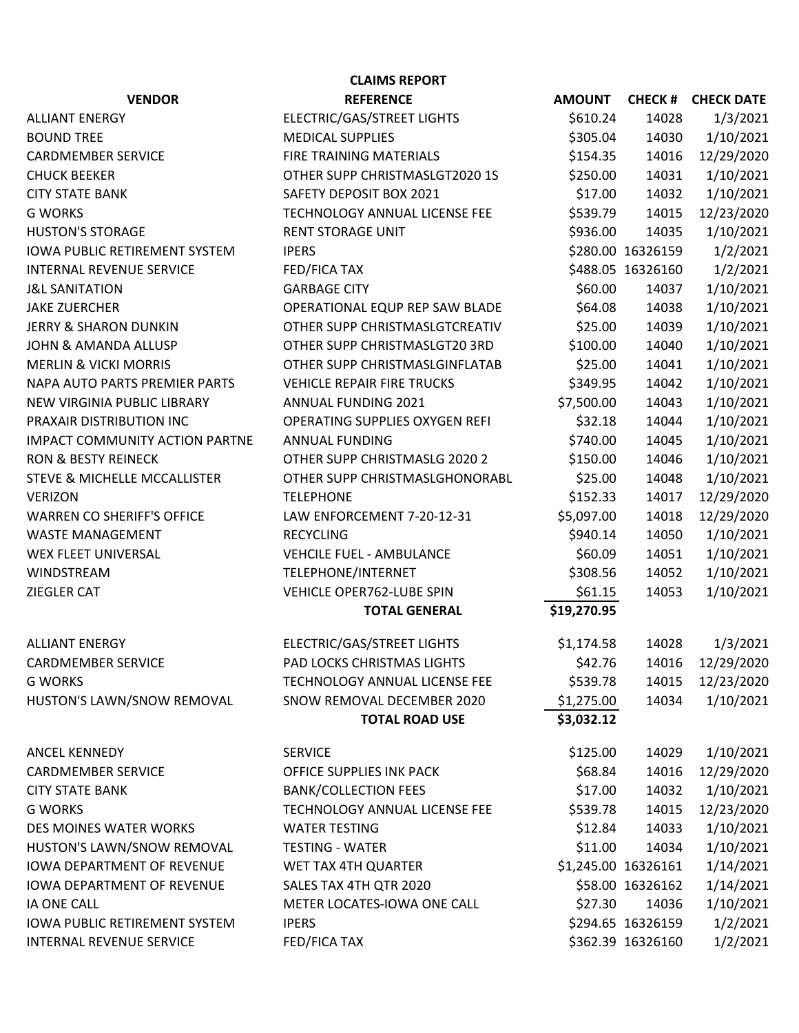| <b>CLAIMS REPORT</b>                  |                                       |               |                     |                   |  |  |  |  |
|---------------------------------------|---------------------------------------|---------------|---------------------|-------------------|--|--|--|--|
| <b>VENDOR</b>                         | <b>REFERENCE</b>                      | <b>AMOUNT</b> | <b>CHECK#</b>       | <b>CHECK DATE</b> |  |  |  |  |
| <b>ALLIANT ENERGY</b>                 | ELECTRIC/GAS/STREET LIGHTS            | \$610.24      | 14028               | 1/3/2021          |  |  |  |  |
| <b>BOUND TREE</b>                     | <b>MEDICAL SUPPLIES</b>               | \$305.04      | 14030               | 1/10/2021         |  |  |  |  |
| <b>CARDMEMBER SERVICE</b>             | FIRE TRAINING MATERIALS               | \$154.35      | 14016               | 12/29/2020        |  |  |  |  |
| <b>CHUCK BEEKER</b>                   | OTHER SUPP CHRISTMASLGT2020 1S        | \$250.00      | 14031               | 1/10/2021         |  |  |  |  |
| <b>CITY STATE BANK</b>                | SAFETY DEPOSIT BOX 2021               | \$17.00       | 14032               | 1/10/2021         |  |  |  |  |
| <b>G WORKS</b>                        | TECHNOLOGY ANNUAL LICENSE FEE         | \$539.79      | 14015               | 12/23/2020        |  |  |  |  |
| <b>HUSTON'S STORAGE</b>               | <b>RENT STORAGE UNIT</b>              | \$936.00      | 14035               | 1/10/2021         |  |  |  |  |
| <b>IOWA PUBLIC RETIREMENT SYSTEM</b>  | <b>IPERS</b>                          |               | \$280.00 16326159   | 1/2/2021          |  |  |  |  |
| <b>INTERNAL REVENUE SERVICE</b>       | <b>FED/FICA TAX</b>                   |               | \$488.05 16326160   | 1/2/2021          |  |  |  |  |
| <b>J&amp;L SANITATION</b>             | <b>GARBAGE CITY</b>                   | \$60.00       | 14037               | 1/10/2021         |  |  |  |  |
| <b>JAKE ZUERCHER</b>                  | OPERATIONAL EQUP REP SAW BLADE        | \$64.08       | 14038               | 1/10/2021         |  |  |  |  |
| <b>JERRY &amp; SHARON DUNKIN</b>      | OTHER SUPP CHRISTMASLGTCREATIV        | \$25.00       | 14039               | 1/10/2021         |  |  |  |  |
| <b>JOHN &amp; AMANDA ALLUSP</b>       | OTHER SUPP CHRISTMASLGT20 3RD         | \$100.00      | 14040               | 1/10/2021         |  |  |  |  |
| <b>MERLIN &amp; VICKI MORRIS</b>      | OTHER SUPP CHRISTMASLGINFLATAB        | \$25.00       | 14041               | 1/10/2021         |  |  |  |  |
| NAPA AUTO PARTS PREMIER PARTS         | <b>VEHICLE REPAIR FIRE TRUCKS</b>     | \$349.95      | 14042               | 1/10/2021         |  |  |  |  |
| NEW VIRGINIA PUBLIC LIBRARY           | ANNUAL FUNDING 2021                   | \$7,500.00    | 14043               | 1/10/2021         |  |  |  |  |
| PRAXAIR DISTRIBUTION INC              | <b>OPERATING SUPPLIES OXYGEN REFI</b> | \$32.18       | 14044               | 1/10/2021         |  |  |  |  |
| <b>IMPACT COMMUNITY ACTION PARTNE</b> | <b>ANNUAL FUNDING</b>                 | \$740.00      | 14045               | 1/10/2021         |  |  |  |  |
| <b>RON &amp; BESTY REINECK</b>        | OTHER SUPP CHRISTMASLG 2020 2         | \$150.00      | 14046               | 1/10/2021         |  |  |  |  |
| STEVE & MICHELLE MCCALLISTER          | OTHER SUPP CHRISTMASLGHONORABL        | \$25.00       | 14048               | 1/10/2021         |  |  |  |  |
| <b>VERIZON</b>                        | <b>TELEPHONE</b>                      | \$152.33      | 14017               | 12/29/2020        |  |  |  |  |
| <b>WARREN CO SHERIFF'S OFFICE</b>     | LAW ENFORCEMENT 7-20-12-31            | \$5,097.00    | 14018               | 12/29/2020        |  |  |  |  |
| <b>WASTE MANAGEMENT</b>               | <b>RECYCLING</b>                      | \$940.14      | 14050               | 1/10/2021         |  |  |  |  |
| WEX FLEET UNIVERSAL                   | <b>VEHCILE FUEL - AMBULANCE</b>       | \$60.09       | 14051               | 1/10/2021         |  |  |  |  |
| WINDSTREAM                            | TELEPHONE/INTERNET                    | \$308.56      | 14052               | 1/10/2021         |  |  |  |  |
| <b>ZIEGLER CAT</b>                    | VEHICLE OPER762-LUBE SPIN             | \$61.15       | 14053               | 1/10/2021         |  |  |  |  |
|                                       | <b>TOTAL GENERAL</b>                  | \$19,270.95   |                     |                   |  |  |  |  |
| <b>ALLIANT ENERGY</b>                 | ELECTRIC/GAS/STREET LIGHTS            | \$1,174.58    | 14028               | 1/3/2021          |  |  |  |  |
| <b>CARDMEMBER SERVICE</b>             | PAD LOCKS CHRISTMAS LIGHTS            | \$42.76       | 14016               | 12/29/2020        |  |  |  |  |
| <b>G WORKS</b>                        | TECHNOLOGY ANNUAL LICENSE FEE         | \$539.78      | 14015               | 12/23/2020        |  |  |  |  |
| HUSTON'S LAWN/SNOW REMOVAL            | SNOW REMOVAL DECEMBER 2020            | \$1,275.00    | 14034               | 1/10/2021         |  |  |  |  |
|                                       | <b>TOTAL ROAD USE</b>                 | \$3,032.12    |                     |                   |  |  |  |  |
| ANCEL KENNEDY                         | <b>SERVICE</b>                        | \$125.00      | 14029               | 1/10/2021         |  |  |  |  |
| <b>CARDMEMBER SERVICE</b>             | OFFICE SUPPLIES INK PACK              | \$68.84       | 14016               | 12/29/2020        |  |  |  |  |
| <b>CITY STATE BANK</b>                | <b>BANK/COLLECTION FEES</b>           | \$17.00       | 14032               | 1/10/2021         |  |  |  |  |
| <b>G WORKS</b>                        | TECHNOLOGY ANNUAL LICENSE FEE         | \$539.78      | 14015               | 12/23/2020        |  |  |  |  |
| DES MOINES WATER WORKS                | <b>WATER TESTING</b>                  | \$12.84       | 14033               | 1/10/2021         |  |  |  |  |
| HUSTON'S LAWN/SNOW REMOVAL            | <b>TESTING - WATER</b>                | \$11.00       | 14034               | 1/10/2021         |  |  |  |  |
| <b>IOWA DEPARTMENT OF REVENUE</b>     | WET TAX 4TH QUARTER                   |               | \$1,245.00 16326161 | 1/14/2021         |  |  |  |  |
| <b>IOWA DEPARTMENT OF REVENUE</b>     | SALES TAX 4TH QTR 2020                |               | \$58.00 16326162    | 1/14/2021         |  |  |  |  |
| IA ONE CALL                           | METER LOCATES-IOWA ONE CALL           | \$27.30       | 14036               | 1/10/2021         |  |  |  |  |
| <b>IOWA PUBLIC RETIREMENT SYSTEM</b>  | <b>IPERS</b>                          |               | \$294.65 16326159   | 1/2/2021          |  |  |  |  |
| INTERNAL REVENUE SERVICE              | FED/FICA TAX                          |               | \$362.39 16326160   | 1/2/2021          |  |  |  |  |